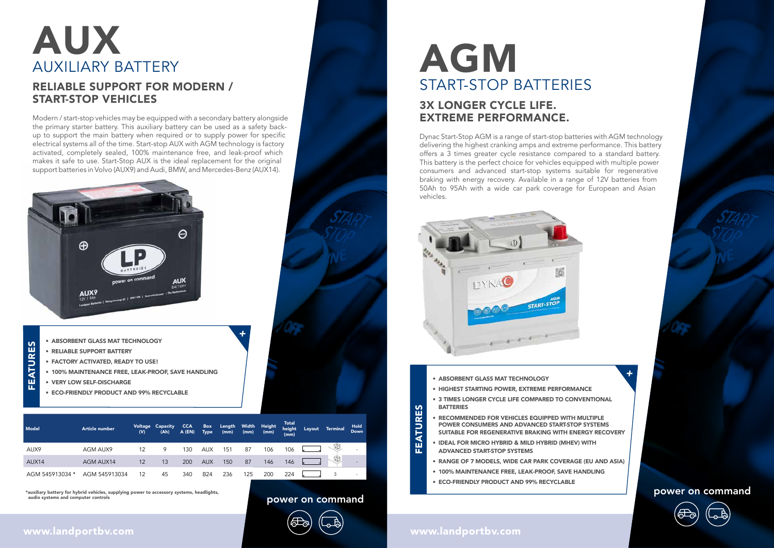- ABSORBENT GLASS MAT TECHNOLOGY
- HIGHEST STARTING POWER, EXTREME PERFORMANCE
- 3 TIMES LONGER CYCLE LIFE COMPARED TO CONVENTIONAL **BATTERIES**
- RECOMMENDED FOR VEHICLES EQUIPPED WITH MULTIPLE POWER CONSUMERS AND ADVANCED START-STOP SYSTEMS SUITABLE FOR REGENERATIVE BRAKING WITH ENERGY RECOVERY
- IDEAL FOR MICRO HYBRID & MILD HYBRID (MHEV) WITH ADVANCED START-STOP SYSTEMS
- RANGE OF 7 MODELS, WIDE CAR PARK COVERAGE (EU AND ASIA)
- 100% MAINTENANCE FREE, LEAK-PROOF, SAVE HANDLING
- ECO-FRIENDLY PRODUCT AND 99% RECYCLABLE

power on command power on command power on command

### www.landportbv.com  $\cup$

- ABSORBENT GLASS MAT TECHNOLOGY
- RELIABLE SUPPORT BATTERY
- FACTORY ACTIVATED, READY TO USE!
- 100% MAINTENANCE FREE, LEAK-PROOF, SAVE HANDLING
- VERY LOW SELF-DISCHARGE

• ECO-FRIENDLY PRODUCT AND 99% RECYCLABLE

+





FEATURES

FEATURES

 $\mathbf{S}$  $\overline{\alpha}$ **ATUI** m

## 3X LONGER CYCLE LIFE. EXTREME PERFORMANCE.

# AUX<br>AUXILIARY BATTERY AGM AUXILIARY BATTERY

Dynac Start-Stop AGM is a range of start-stop batteries with AGM technology delivering the highest cranking amps and extreme performance. This battery offers a 3 times greater cycle resistance compared to a standard battery. This battery is the perfect choice for vehicles equipped with multiple power consumers and advanced start-stop systems suitable for regenerative braking with energy recovery. Available in a range of 12V batteries from 50Ah to 95Ah with a wide car park coverage for European and Asian vehicles.



## RELIABLE SUPPORT FOR MODERN / START-STOP VEHICLES

Modern / start-stop vehicles may be equipped with a secondary battery alongside the primary starter battery. This auxiliary battery can be used as a safety backup to support the main battery when required or to supply power for specific electrical systems all of the time. Start-stop AUX with AGM technology is factory activated, completely sealed, 100% maintenance free, and leak-proof which makes it safe to use. Start-Stop AUX is the ideal replacement for the original support batteries in Volvo (AUX9) and Audi, BMW, and Mercedes-Benz (AUX14).



START-STOP BATTERIES

+

FEATURES

EATURES



| Model           | <b>Article number</b> | Voltage<br>(V) | Capacity<br>(Ah) | <b>CCA</b><br>$A$ (EN) | <b>Box</b><br><b>Type</b> | Length<br>(mm) | Width<br>(mm) | Height<br>(mm) | <b>Total</b><br>height<br>(mm) | Layout | <b>Terminal</b> | <b>Hold</b><br>Down |
|-----------------|-----------------------|----------------|------------------|------------------------|---------------------------|----------------|---------------|----------------|--------------------------------|--------|-----------------|---------------------|
| AUX9            | AGM AUX9              | 12             | 9                | 130                    | <b>AUX</b>                | 151            | 87            | 106            | 106                            |        | 9D              | -                   |
| AUX14           | AGM AUX14             | 12             | 13               | 200                    | <b>AUX</b>                | 150            | 87            | 146            | 146                            |        | 39              |                     |
| AGM 545913034 * | AGM 545913034         | 12             | 45               | 340                    | <b>B24</b>                | 236            | 125           | 200            | 224                            |        |                 |                     |

 $\sim$ 

\*auxiliary battery for hybrid vehicles, supplying power to accessory systems, headlights, audio systems and computer controls